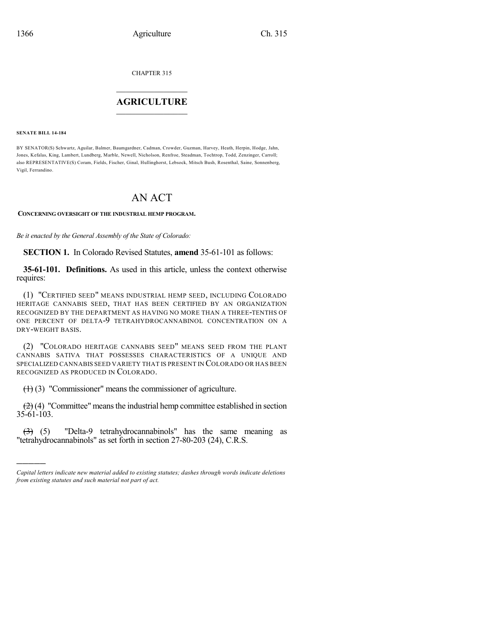CHAPTER 315

## $\mathcal{L}_\text{max}$  . The set of the set of the set of the set of the set of the set of the set of the set of the set of the set of the set of the set of the set of the set of the set of the set of the set of the set of the set **AGRICULTURE**  $\_$   $\_$   $\_$   $\_$   $\_$   $\_$   $\_$   $\_$

**SENATE BILL 14-184**

)))))

BY SENATOR(S) Schwartz, Aguilar, Balmer, Baumgardner, Cadman, Crowder, Guzman, Harvey, Heath, Herpin, Hodge, Jahn, Jones, Kefalas, King, Lambert, Lundberg, Marble, Newell, Nicholson, Renfroe, Steadman, Tochtrop, Todd, Zenzinger, Carroll; also REPRESENTATIVE(S) Coram, Fields, Fischer, Ginal, Hullinghorst, Lebsock, Mitsch Bush, Rosenthal, Saine, Sonnenberg, Vigil, Ferrandino.

# AN ACT

### **CONCERNING OVERSIGHT OF THE INDUSTRIAL HEMP PROGRAM.**

*Be it enacted by the General Assembly of the State of Colorado:*

**SECTION 1.** In Colorado Revised Statutes, **amend** 35-61-101 as follows:

**35-61-101. Definitions.** As used in this article, unless the context otherwise requires:

(1) "CERTIFIED SEED" MEANS INDUSTRIAL HEMP SEED, INCLUDING COLORADO HERITAGE CANNABIS SEED, THAT HAS BEEN CERTIFIED BY AN ORGANIZATION RECOGNIZED BY THE DEPARTMENT AS HAVING NO MORE THAN A THREE-TENTHS OF ONE PERCENT OF DELTA-9 TETRAHYDROCANNABINOL CONCENTRATION ON A DRY-WEIGHT BASIS.

(2) "COLORADO HERITAGE CANNABIS SEED" MEANS SEED FROM THE PLANT CANNABIS SATIVA THAT POSSESSES CHARACTERISTICS OF A UNIQUE AND SPECIALIZED CANNABIS SEED VARIETY THAT IS PRESENT IN COLORADO OR HAS BEEN RECOGNIZED AS PRODUCED IN COLORADO.

(1) (3) "Commissioner" means the commissioner of agriculture.

 $(2)$  (4) "Committee" means the industrial hemp committee established in section 35-61-103.

(3) (5) "Delta-9 tetrahydrocannabinols" has the same meaning as "tetrahydrocannabinols" as set forth in section 27-80-203 (24), C.R.S.

*Capital letters indicate new material added to existing statutes; dashes through words indicate deletions from existing statutes and such material not part of act.*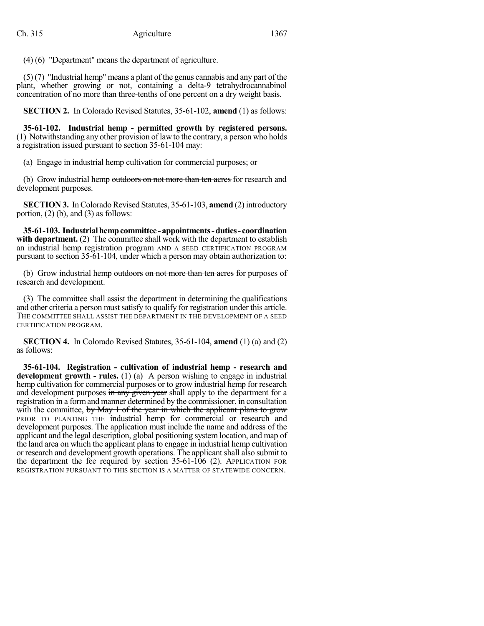(4) (6) "Department" means the department of agriculture.

 $(5)(7)$  "Industrial hemp" means a plant of the genus cannabis and any part of the plant, whether growing or not, containing a delta-9 tetrahydrocannabinol concentration of no more than three-tenths of one percent on a dry weight basis.

**SECTION 2.** In Colorado Revised Statutes, 35-61-102, **amend** (1) as follows:

**35-61-102. Industrial hemp - permitted growth by registered persons.** (1) Notwithstanding any other provision of lawto the contrary, a person who holds a registration issued pursuant to section 35-61-104 may:

(a) Engage in industrial hemp cultivation for commercial purposes; or

(b) Grow industrial hemp outdoors on not more than ten acres for research and development purposes.

**SECTION 3.** In Colorado Revised Statutes, 35-61-103, **amend** (2) introductory portion, (2) (b), and (3) as follows:

**35-61-103. Industrialhempcommittee - appointments-duties- coordination with department.** (2) The committee shall work with the department to establish an industrial hemp registration program AND A SEED CERTIFICATION PROGRAM pursuant to section 35-61-104, under which a person may obtain authorization to:

(b) Grow industrial hemp outdoors on not more than ten acres for purposes of research and development.

(3) The committee shall assist the department in determining the qualifications and other criteria a person must satisfy to qualify for registration under this article. THE COMMITTEE SHALL ASSIST THE DEPARTMENT IN THE DEVELOPMENT OF A SEED CERTIFICATION PROGRAM.

**SECTION 4.** In Colorado Revised Statutes, 35-61-104, **amend** (1) (a) and (2) as follows:

**35-61-104. Registration - cultivation of industrial hemp - research and development growth - rules.** (1) (a) A person wishing to engage in industrial hemp cultivation for commercial purposes or to grow industrial hemp for research and development purposes  $\frac{d}{dx}$  any given year shall apply to the department for a registration in a formand manner determined by the commissioner, in consultation with the committee, by May 1 of the year in which the applicant plans to grow PRIOR TO PLANTING THE industrial hemp for commercial or research and development purposes. The application must include the name and address of the applicant and the legal description, global positioning system location, and map of the land area on which the applicant plans to engage in industrial hemp cultivation or research and development growth operations. The applicant shall also submit to the department the fee required by section  $35{\text -}61{\text -}106$  (2). APPLICATION FOR REGISTRATION PURSUANT TO THIS SECTION IS A MATTER OF STATEWIDE CONCERN.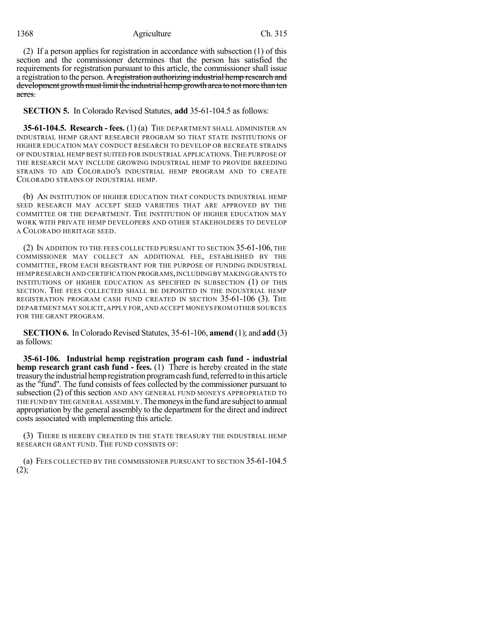### 1368 Agriculture Ch. 315

(2) If a person applies for registration in accordance with subsection (1) of this section and the commissioner determines that the person has satisfied the requirements for registration pursuant to this article, the commissioner shall issue a registration to the person. A registration authorizing industrial hemp research and development growth must limit the industrial hemp growth area to not more than ten acres.

**SECTION 5.** In Colorado Revised Statutes, **add** 35-61-104.5 as follows:

**35-61-104.5. Research - fees.** (1) (a) THE DEPARTMENT SHALL ADMINISTER AN INDUSTRIAL HEMP GRANT RESEARCH PROGRAM SO THAT STATE INSTITUTIONS OF HIGHER EDUCATION MAY CONDUCT RESEARCH TO DEVELOP OR RECREATE STRAINS OF INDUSTRIAL HEMP BEST SUITED FOR INDUSTRIAL APPLICATIONS.THE PURPOSE OF THE RESEARCH MAY INCLUDE GROWING INDUSTRIAL HEMP TO PROVIDE BREEDING STRAINS TO AID COLORADO'S INDUSTRIAL HEMP PROGRAM AND TO CREATE COLORADO STRAINS OF INDUSTRIAL HEMP.

(b) AN INSTITUTION OF HIGHER EDUCATION THAT CONDUCTS INDUSTRIAL HEMP SEED RESEARCH MAY ACCEPT SEED VARIETIES THAT ARE APPROVED BY THE COMMITTEE OR THE DEPARTMENT. THE INSTITUTION OF HIGHER EDUCATION MAY WORK WITH PRIVATE HEMP DEVELOPERS AND OTHER STAKEHOLDERS TO DEVELOP A COLORADO HERITAGE SEED.

(2) IN ADDITION TO THE FEES COLLECTED PURSUANT TO SECTION 35-61-106, THE COMMISSIONER MAY COLLECT AN ADDITIONAL FEE, ESTABLISHED BY THE COMMITTEE, FROM EACH REGISTRANT FOR THE PURPOSE OF FUNDING INDUSTRIAL HEMP RESEARCH AND CERTIFICATION PROGRAMS,INCLUDING BY MAKING GRANTS TO INSTITUTIONS OF HIGHER EDUCATION AS SPECIFIED IN SUBSECTION (1) OF THIS SECTION. THE FEES COLLECTED SHALL BE DEPOSITED IN THE INDUSTRIAL HEMP REGISTRATION PROGRAM CASH FUND CREATED IN SECTION 35-61-106 (3). THE DEPARTMENT MAY SOLICIT,APPLY FOR,AND ACCEPT MONEYS FROM OTHER SOURCES FOR THE GRANT PROGRAM.

**SECTION 6.** In Colorado Revised Statutes, 35-61-106, **amend** (1); and **add** (3) as follows:

**35-61-106. Industrial hemp registration program cash fund - industrial hemp research grant cash fund - fees.** (1) There is hereby created in the state treasury the industrial hemp registration program cash fund, referred to in this article as the "fund". The fund consists of fees collected by the commissioner pursuant to subsection (2) of this section AND ANY GENERAL FUND MONEYS APPROPRIATED TO THE FUND BY THE GENERAL ASSEMBLY. The moneys in the fund are subject to annual appropriation by the general assembly to the department for the direct and indirect costs associated with implementing this article.

(3) THERE IS HEREBY CREATED IN THE STATE TREASURY THE INDUSTRIAL HEMP RESEARCH GRANT FUND. THE FUND CONSISTS OF:

(a) FEES COLLECTED BY THE COMMISSIONER PURSUANT TO SECTION 35-61-104.5 (2);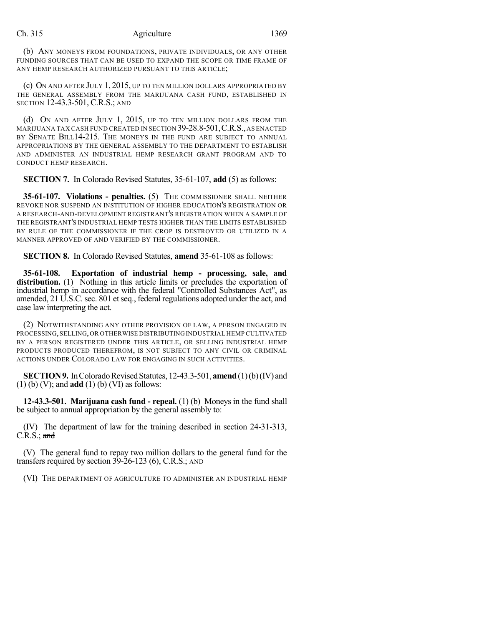#### Ch. 315 Agriculture 1369

(b) ANY MONEYS FROM FOUNDATIONS, PRIVATE INDIVIDUALS, OR ANY OTHER FUNDING SOURCES THAT CAN BE USED TO EXPAND THE SCOPE OR TIME FRAME OF ANY HEMP RESEARCH AUTHORIZED PURSUANT TO THIS ARTICLE;

(c) ON AND AFTER JULY 1, 2015, UP TO TEN MILLION DOLLARS APPROPRIATED BY THE GENERAL ASSEMBLY FROM THE MARIJUANA CASH FUND, ESTABLISHED IN SECTION 12-43.3-501, C.R.S.; AND

(d) ON AND AFTER JULY 1, 2015, UP TO TEN MILLION DOLLARS FROM THE MARIJUANA TAX CASH FUND CREATED IN SECTION 39-28.8-501,C.R.S.,AS ENACTED BY SENATE BILL14-215. THE MONEYS IN THE FUND ARE SUBJECT TO ANNUAL APPROPRIATIONS BY THE GENERAL ASSEMBLY TO THE DEPARTMENT TO ESTABLISH AND ADMINISTER AN INDUSTRIAL HEMP RESEARCH GRANT PROGRAM AND TO CONDUCT HEMP RESEARCH.

**SECTION 7.** In Colorado Revised Statutes, 35-61-107, **add** (5) as follows:

**35-61-107. Violations - penalties.** (5) THE COMMISSIONER SHALL NEITHER REVOKE NOR SUSPEND AN INSTITUTION OF HIGHER EDUCATION'S REGISTRATION OR A RESEARCH-AND-DEVELOPMENT REGISTRANT'S REGISTRATION WHEN A SAMPLE OF THE REGISTRANT'S INDUSTRIAL HEMP TESTS HIGHER THAN THE LIMITS ESTABLISHED BY RULE OF THE COMMISSIONER IF THE CROP IS DESTROYED OR UTILIZED IN A MANNER APPROVED OF AND VERIFIED BY THE COMMISSIONER.

**SECTION 8.** In Colorado Revised Statutes, **amend** 35-61-108 as follows:

**35-61-108. Exportation of industrial hemp - processing, sale, and** distribution. (1) Nothing in this article limits or precludes the exportation of industrial hemp in accordance with the federal "Controlled Substances Act", as amended, 21 U.S.C. sec. 801 et seq., federal regulations adopted under the act, and case law interpreting the act.

(2) NOTWITHSTANDING ANY OTHER PROVISION OF LAW, A PERSON ENGAGED IN PROCESSING,SELLING,OR OTHERWISE DISTRIBUTING INDUSTRIAL HEMP CULTIVATED BY A PERSON REGISTERED UNDER THIS ARTICLE, OR SELLING INDUSTRIAL HEMP PRODUCTS PRODUCED THEREFROM, IS NOT SUBJECT TO ANY CIVIL OR CRIMINAL ACTIONS UNDER COLORADO LAW FOR ENGAGING IN SUCH ACTIVITIES.

**SECTION 9.** In Colorado Revised Statutes, 12-43.3-501, **amend** (1)(b)(IV) and (1) (b) (V); and **add** (1) (b) (VI) as follows:

**12-43.3-501. Marijuana cash fund - repeal.** (1) (b) Moneys in the fund shall be subject to annual appropriation by the general assembly to:

(IV) The department of law for the training described in section 24-31-313,  $C.R.S.:$  and

(V) The general fund to repay two million dollars to the general fund for the transfers required by section 39-26-123 (6), C.R.S.; AND

(VI) THE DEPARTMENT OF AGRICULTURE TO ADMINISTER AN INDUSTRIAL HEMP